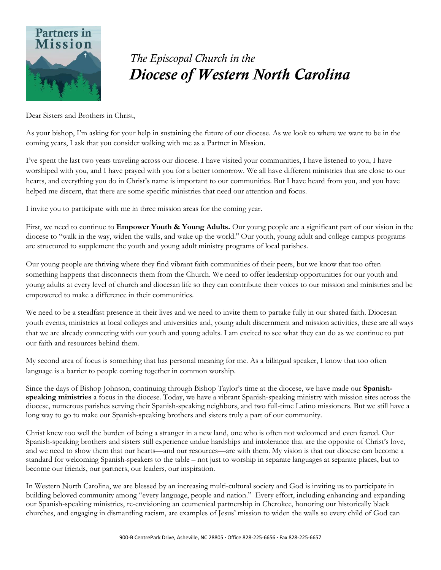

## *The Episcopal Church in the Diocese of Western North Carolina*

Dear Sisters and Brothers in Christ,

As your bishop, I'm asking for your help in sustaining the future of our diocese. As we look to where we want to be in the coming years, I ask that you consider walking with me as a Partner in Mission.

I've spent the last two years traveling across our diocese. I have visited your communities, I have listened to you, I have worshiped with you, and I have prayed with you for a better tomorrow. We all have different ministries that are close to our hearts, and everything you do in Christ's name is important to our communities. But I have heard from you, and you have helped me discern, that there are some specific ministries that need our attention and focus.

I invite you to participate with me in three mission areas for the coming year.

First, we need to continue to **Empower Youth & Young Adults.** Our young people are a significant part of our vision in the diocese to "walk in the way, widen the walls, and wake up the world." Our youth, young adult and college campus programs are structured to supplement the youth and young adult ministry programs of local parishes.

Our young people are thriving where they find vibrant faith communities of their peers, but we know that too often something happens that disconnects them from the Church. We need to offer leadership opportunities for our youth and young adults at every level of church and diocesan life so they can contribute their voices to our mission and ministries and be empowered to make a difference in their communities.

We need to be a steadfast presence in their lives and we need to invite them to partake fully in our shared faith. Diocesan youth events, ministries at local colleges and universities and, young adult discernment and mission activities, these are all ways that we are already connecting with our youth and young adults. I am excited to see what they can do as we continue to put our faith and resources behind them.

My second area of focus is something that has personal meaning for me. As a bilingual speaker, I know that too often language is a barrier to people coming together in common worship.

Since the days of Bishop Johnson, continuing through Bishop Taylor's time at the diocese, we have made our **Spanishspeaking ministries** a focus in the diocese. Today, we have a vibrant Spanish-speaking ministry with mission sites across the diocese, numerous parishes serving their Spanish-speaking neighbors, and two full-time Latino missioners. But we still have a long way to go to make our Spanish-speaking brothers and sisters truly a part of our community.

Christ knew too well the burden of being a stranger in a new land, one who is often not welcomed and even feared. Our Spanish-speaking brothers and sisters still experience undue hardships and intolerance that are the opposite of Christ's love, and we need to show them that our hearts—and our resources—are with them. My vision is that our diocese can become a standard for welcoming Spanish-speakers to the table – not just to worship in separate languages at separate places, but to become our friends, our partners, our leaders, our inspiration.

In Western North Carolina, we are blessed by an increasing multi-cultural society and God is inviting us to participate in building beloved community among "every language, people and nation." Every effort, including enhancing and expanding our Spanish-speaking ministries, re-envisioning an ecumenical partnership in Cherokee, honoring our historically black churches, and engaging in dismantling racism, are examples of Jesus' mission to widen the walls so every child of God can